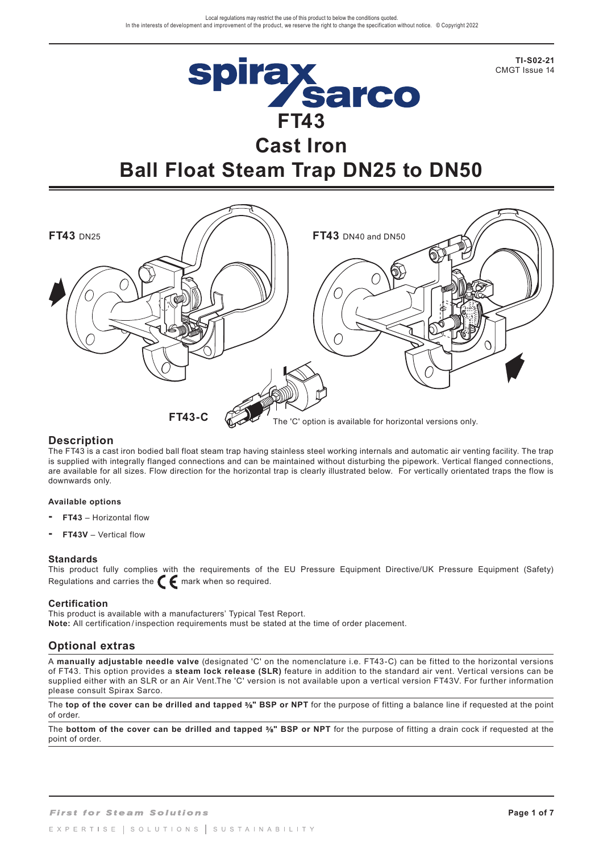**TI-S02-21** CMGT Issue 14



# **Cast Iron Ball Float Steam Trap DN25 to DN50**



## **Description**

The FT43 is a cast iron bodied ball float steam trap having stainless steel working internals and automatic air venting facility. The trap is supplied with integrally flanged connections and can be maintained without disturbing the pipework. Vertical flanged connections, are available for all sizes. Flow direction for the horizontal trap is clearly illustrated below. For vertically orientated traps the flow is downwards only.

#### **Available options**

- **FT43** Horizontal flow
- **FT43V** Vertical flow

#### **Standards**

This product fully complies with the requirements of the EU Pressure Equipment Directive/UK Pressure Equipment (Safety) Regulations and carries the  $\epsilon$  mark when so required.

#### **Certification**

This product is available with a manufacturers' Typical Test Report. **Note:** All certification / inspection requirements must be stated at the time of order placement.

## **Optional extras**

A **manually adjustable needle valve** (designated 'C' on the nomenclature i.e. FT43-C) can be fitted to the horizontal versions of FT43. This option provides a **steam lock release (SLR)** feature in addition to the standard air vent. Vertical versions can be supplied either with an SLR or an Air Vent.The 'C' version is not available upon a vertical version FT43V. For further information please consult Spirax Sarco.

The **top of the cover can be drilled and tapped** %" BSP or NPT for the purpose of fitting a balance line if requested at the point of order.

The **bottom of the cover can be drilled and tapped %" BSP or NPT** for the purpose of fitting a drain cock if requested at the point of order.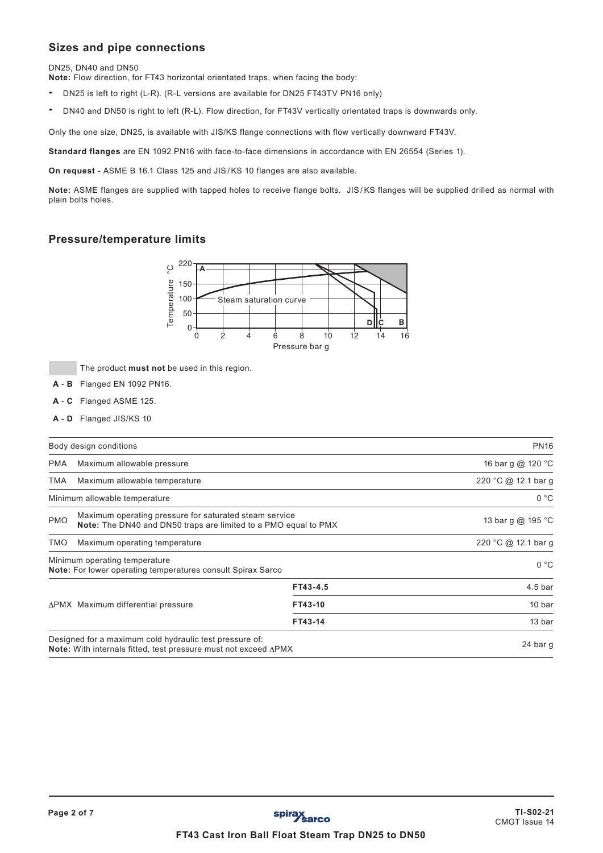## **Sizes and pipe connections**

DN25, DN40 and DN50

**Note:** Flow direction, for FT43 horizontal orientated traps, when facing the body:

- DN25 is left to right (L-R). (R-L versions are available for DN25 FT43TV PN16 only)
- DN40 and DN50 is right to left (R-L). Flow direction, for FT43V vertically orientated traps is downwards only.

Only the one size, DN25, is available with JIS/KS flange connections with flow vertically downward FT43V.

**Standard flanges** are EN 1092 PN16 with face-to-face dimensions in accordance with EN 26554 (Series 1).

**On request** - ASME B 16.1 Class 125 and JIS/KS 10 flanges are also available.

**Note:** ASME flanges are supplied with tapped holes to receive flange bolts. JIS/KS flanges will be supplied drilled as normal with plain bolts holes.

## **Pressure/temperature limits**



The product **must not** be used in this region.

- **A B** Flanged EN 1092 PN16.
- **A C** Flanged ASME 125.
- **A D** Flanged JIS/KS 10

|            | Body design conditions                                                                                                                    |                     | <b>PN16</b>         |
|------------|-------------------------------------------------------------------------------------------------------------------------------------------|---------------------|---------------------|
| <b>PMA</b> | Maximum allowable pressure                                                                                                                |                     | 16 bar g @ 120 °C   |
| TMA        | Maximum allowable temperature                                                                                                             |                     | 220 °C @ 12.1 bar g |
|            | Minimum allowable temperature                                                                                                             |                     | 0 °C                |
| <b>PMO</b> | Maximum operating pressure for saturated steam service<br>Note: The DN40 and DN50 traps are limited to a PMO equal to PMX                 |                     | 13 bar g @ 195 °C   |
| TMO        | Maximum operating temperature                                                                                                             | 220 °C @ 12.1 bar g |                     |
|            | Minimum operating temperature<br><b>Note:</b> For lower operating temperatures consult Spirax Sarco                                       |                     | 0 °C                |
|            |                                                                                                                                           | FT43-4.5            | 4.5 <sub>bar</sub>  |
|            | ΔPMX Maximum differential pressure                                                                                                        | FT43-10             | 10 bar              |
|            |                                                                                                                                           | FT43-14             | 13 bar              |
|            | Designed for a maximum cold hydraulic test pressure of:<br><b>Note:</b> With internals fitted, test pressure must not exceed $\Delta$ PMX |                     | 24 bar g            |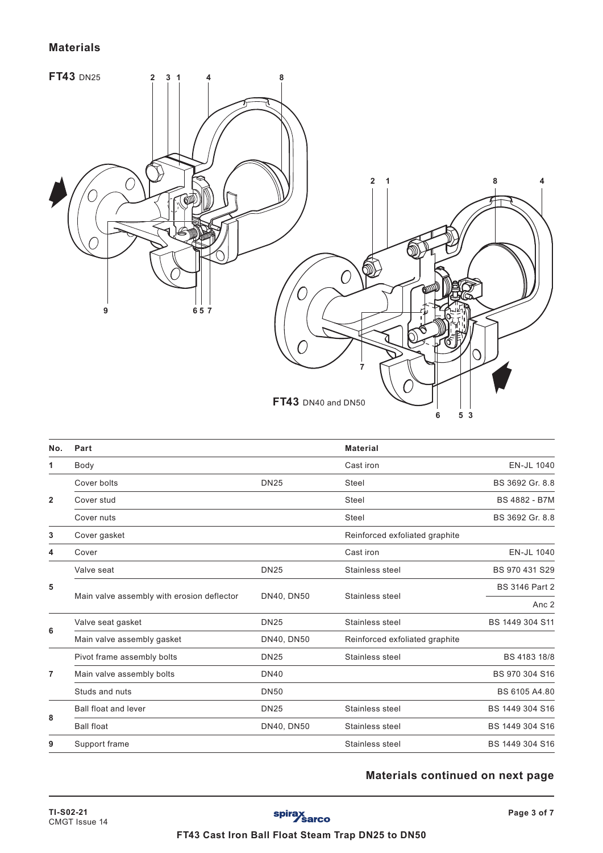## **Materials**



| No.          | Part                                       |             | <b>Material</b>                |                       |
|--------------|--------------------------------------------|-------------|--------------------------------|-----------------------|
| 1            | Body                                       |             | Cast iron                      | EN-JL 1040            |
|              | Cover bolts                                | <b>DN25</b> | Steel                          | BS 3692 Gr. 8.8       |
| $\mathbf{2}$ | Cover stud                                 |             | <b>Steel</b>                   | <b>BS 4882 - B7M</b>  |
|              | Cover nuts                                 |             | <b>Steel</b>                   | BS 3692 Gr. 8.8       |
| 3            | Cover gasket                               |             | Reinforced exfoliated graphite |                       |
| 4            | Cover                                      |             | Cast iron                      | EN-JL 1040            |
| 5            | Valve seat                                 | <b>DN25</b> | Stainless steel                | BS 970 431 S29        |
|              | Main valve assembly with erosion deflector | DN40, DN50  | Stainless steel                | <b>BS 3146 Part 2</b> |
|              |                                            |             |                                | Anc <sub>2</sub>      |
|              | Valve seat gasket                          | <b>DN25</b> | Stainless steel                | BS 1449 304 S11       |
| 6            | Main valve assembly gasket                 | DN40, DN50  | Reinforced exfoliated graphite |                       |
|              | Pivot frame assembly bolts                 | <b>DN25</b> | Stainless steel                | BS 4183 18/8          |
| 7            | Main valve assembly bolts                  | <b>DN40</b> |                                | BS 970 304 S16        |
|              | Studs and nuts                             | <b>DN50</b> |                                | BS 6105 A4.80         |
| 8            | <b>Ball float and lever</b>                | <b>DN25</b> | Stainless steel                | BS 1449 304 S16       |
|              | <b>Ball float</b>                          | DN40, DN50  | Stainless steel                | BS 1449 304 S16       |
| 9            | Support frame                              |             | Stainless steel                | BS 1449 304 S16       |

# **Materials continued on next page**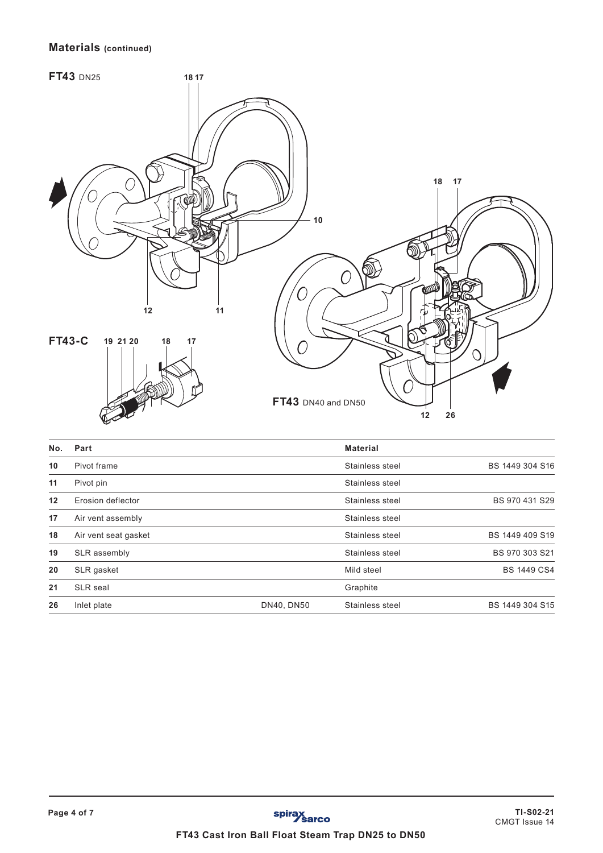## **Materials (continued)**



| No. | Part                 |            | <b>Material</b> |                    |
|-----|----------------------|------------|-----------------|--------------------|
| 10  | Pivot frame          |            | Stainless steel | BS 1449 304 S16    |
| 11  | Pivot pin            |            | Stainless steel |                    |
| 12  | Erosion deflector    |            | Stainless steel | BS 970 431 S29     |
| 17  | Air vent assembly    |            | Stainless steel |                    |
| 18  | Air vent seat gasket |            | Stainless steel | BS 1449 409 S19    |
| 19  | SLR assembly         |            | Stainless steel | BS 970 303 S21     |
| 20  | SLR gasket           |            | Mild steel      | <b>BS 1449 CS4</b> |
| 21  | <b>SLR</b> seal      |            | Graphite        |                    |
| 26  | Inlet plate          | DN40, DN50 | Stainless steel | BS 1449 304 S15    |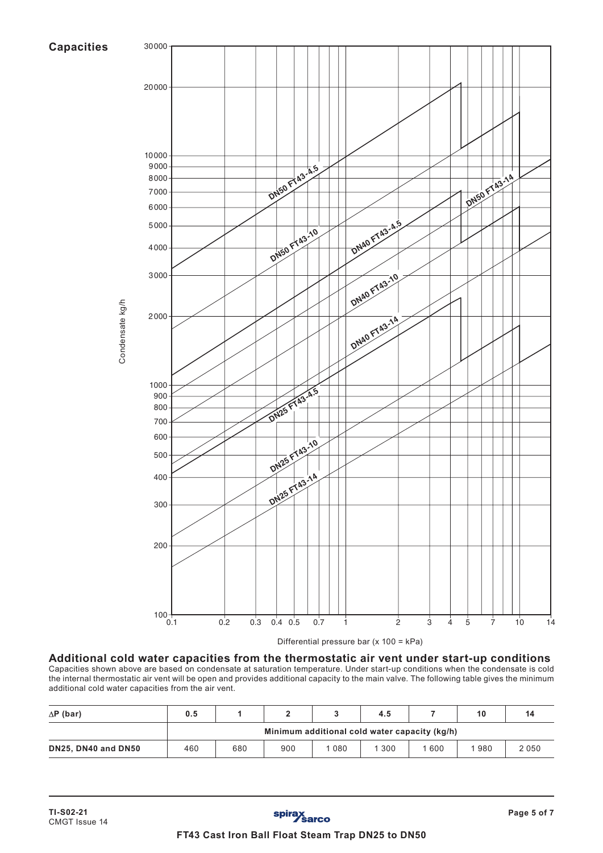## **Capacities**



**Additional cold water capacities from the thermostatic air vent under start-up conditions** Capacities shown above are based on condensate at saturation temperature. Under start-up conditions when the condensate is cold the internal thermostatic air vent will be open and provides additional capacity to the main valve. The following table gives the minimum

| $\Delta$ P (bar)    | 0.5                                           |     |     |      | 4.5 |     | 10  | 14   |
|---------------------|-----------------------------------------------|-----|-----|------|-----|-----|-----|------|
|                     | Minimum additional cold water capacity (kg/h) |     |     |      |     |     |     |      |
| DN25, DN40 and DN50 | 460                                           | 680 | 900 | 1080 | 300 | 600 | 980 | 2050 |

additional cold water capacities from the air vent.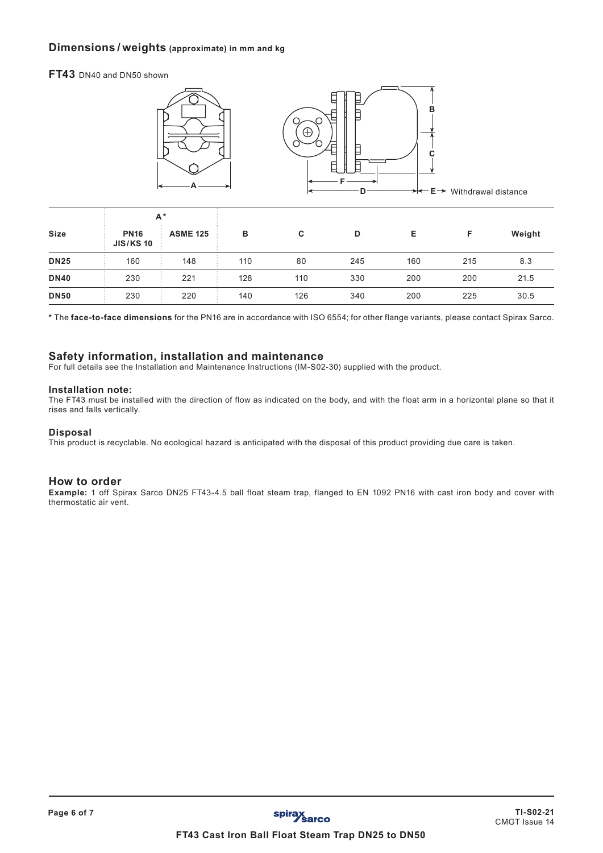## **Dimensions / weights (approximate) in mm and kg**

**FT43** DN40 and DN50 shown



|             | $A^*$                           |                 |     |     |     |     |     |        |
|-------------|---------------------------------|-----------------|-----|-----|-----|-----|-----|--------|
| <b>Size</b> | <b>PN16</b><br><b>JIS/KS 10</b> | <b>ASME 125</b> | в   | C   | D   | Е   | F   | Weight |
| <b>DN25</b> | 160                             | 148             | 110 | 80  | 245 | 160 | 215 | 8.3    |
| <b>DN40</b> | 230                             | 221             | 128 | 110 | 330 | 200 | 200 | 21.5   |
| <b>DN50</b> | 230                             | 220             | 140 | 126 | 340 | 200 | 225 | 30.5   |

**\*** The **face-to-face dimensions** for the PN16 are in accordance with ISO 6554; for other flange variants, please contact Spirax Sarco.

#### **Safety information, installation and maintenance**

For full details see the Installation and Maintenance Instructions (IM-S02-30) supplied with the product.

#### **Installation note:**

The FT43 must be installed with the direction of flow as indicated on the body, and with the float arm in a horizontal plane so that it rises and falls vertically.

#### **Disposal**

This product is recyclable. No ecological hazard is anticipated with the disposal of this product providing due care is taken.

#### **How to order**

**Example:** 1 off Spirax Sarco DN25 FT43-4.5 ball float steam trap, flanged to EN 1092 PN16 with cast iron body and cover with thermostatic air vent.